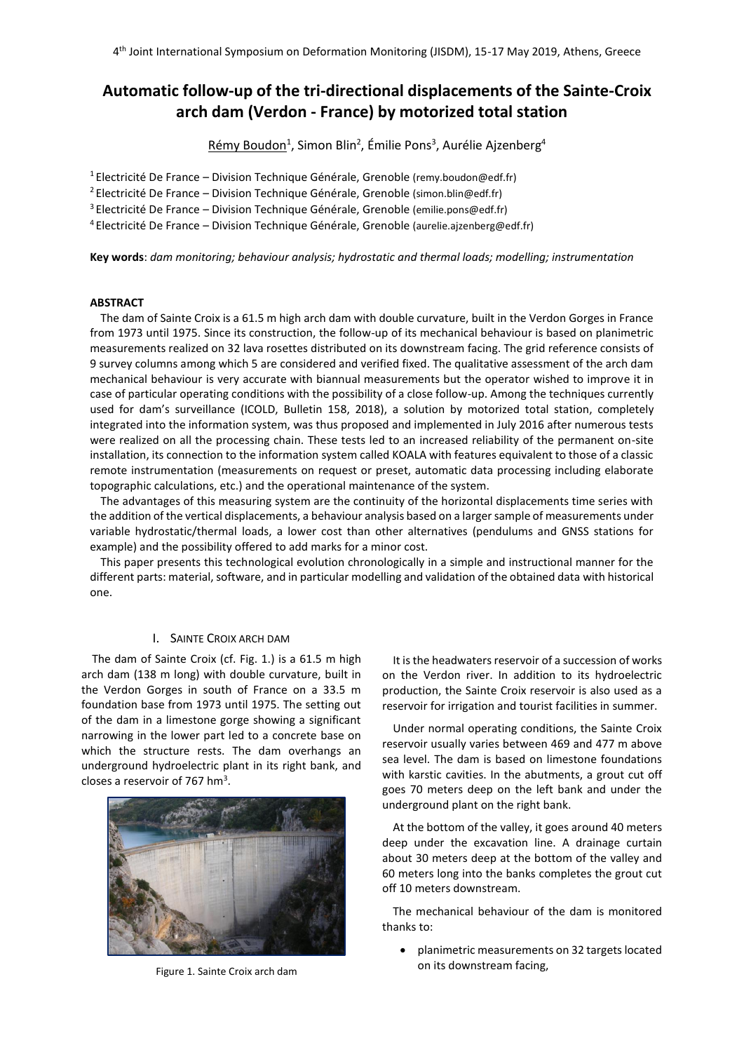# **Automatic follow-up of the tri-directional displacements of the Sainte-Croix arch dam (Verdon - France) by motorized total station**

<u>Rémy Boudon<sup>1</sup>,</u> Simon Blin<sup>2</sup>, Émilie Pons<sup>3</sup>, Aurélie Ajzenberg<sup>4</sup>

<sup>1</sup> Electricité De France – Division Technique Générale, Grenoble (remy.boudon@edf.fr)

<sup>2</sup>Electricité De France – Division Technique Générale, Grenoble (simon.blin@edf.fr)

<sup>3</sup>Electricité De France – Division Technique Générale, Grenoble (emilie.pons@edf.fr)

<sup>4</sup> Electricité De France – Division Technique Générale, Grenoble (aurelie.ajzenberg@edf.fr)

**Key words**: *dam monitoring; behaviour analysis; hydrostatic and thermal loads; modelling; instrumentation*

### **ABSTRACT**

The dam of Sainte Croix is a 61.5 m high arch dam with double curvature, built in the Verdon Gorges in France from 1973 until 1975. Since its construction, the follow-up of its mechanical behaviour is based on planimetric measurements realized on 32 lava rosettes distributed on its downstream facing. The grid reference consists of 9 survey columns among which 5 are considered and verified fixed. The qualitative assessment of the arch dam mechanical behaviour is very accurate with biannual measurements but the operator wished to improve it in case of particular operating conditions with the possibility of a close follow-up. Among the techniques currently used for dam's surveillance (ICOLD, Bulletin 158, 2018), a solution by motorized total station, completely integrated into the information system, was thus proposed and implemented in July 2016 after numerous tests were realized on all the processing chain. These tests led to an increased reliability of the permanent on-site installation, its connection to the information system called KOALA with features equivalent to those of a classic remote instrumentation (measurements on request or preset, automatic data processing including elaborate topographic calculations, etc.) and the operational maintenance of the system.

The advantages of this measuring system are the continuity of the horizontal displacements time series with the addition of the vertical displacements, a behaviour analysis based on a larger sample of measurements under variable hydrostatic/thermal loads, a lower cost than other alternatives (pendulums and GNSS stations for example) and the possibility offered to add marks for a minor cost.

This paper presents this technological evolution chronologically in a simple and instructional manner for the different parts: material, software, and in particular modelling and validation of the obtained data with historical one.

### I. SAINTE CROIX ARCH DAM

The dam of Sainte Croix (cf. Fig. 1.) is a 61.5 m high arch dam (138 m long) with double curvature, built in the Verdon Gorges in south of France on a 33.5 m foundation base from 1973 until 1975. The setting out of the dam in a limestone gorge showing a significant narrowing in the lower part led to a concrete base on which the structure rests. The dam overhangs an underground hydroelectric plant in its right bank, and closes a reservoir of 767 hm<sup>3</sup>.



Figure 1. Sainte Croix arch dam

It is the headwaters reservoir of a succession of works on the Verdon river. In addition to its hydroelectric production, the Sainte Croix reservoir is also used as a reservoir for irrigation and tourist facilities in summer.

Under normal operating conditions, the Sainte Croix reservoir usually varies between 469 and 477 m above sea level. The dam is based on limestone foundations with karstic cavities. In the abutments, a grout cut off goes 70 meters deep on the left bank and under the underground plant on the right bank.

At the bottom of the valley, it goes around 40 meters deep under the excavation line. A drainage curtain about 30 meters deep at the bottom of the valley and 60 meters long into the banks completes the grout cut off 10 meters downstream.

The mechanical behaviour of the dam is monitored thanks to:

 planimetric measurements on 32 targets located on its downstream facing,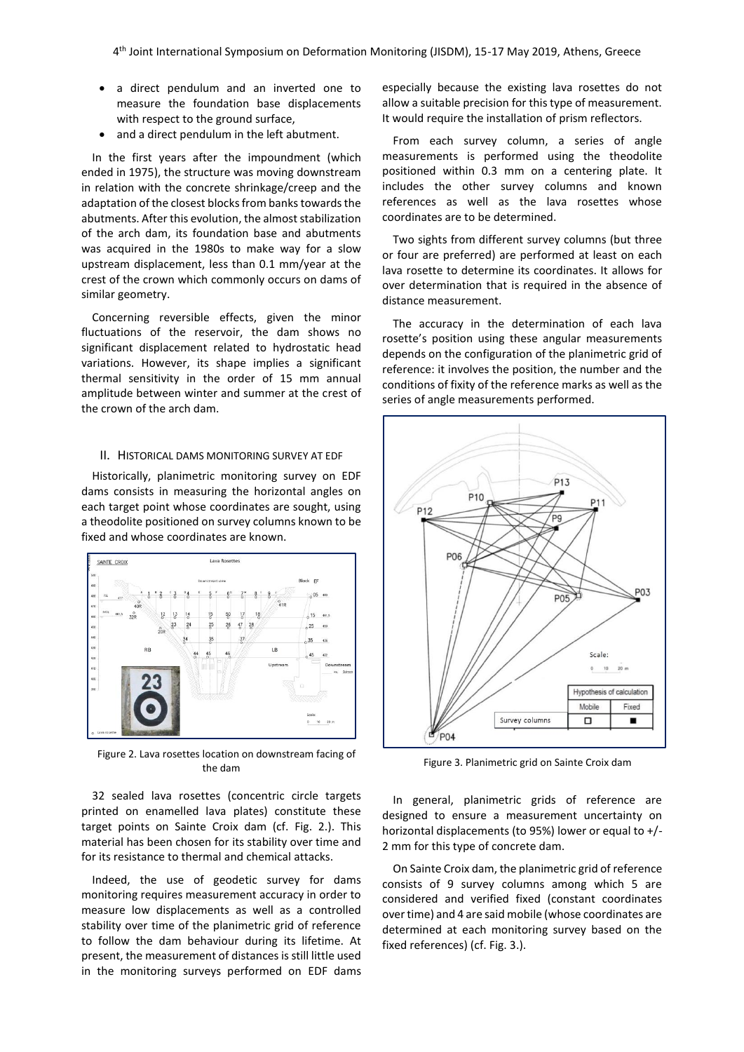- a direct pendulum and an inverted one to measure the foundation base displacements with respect to the ground surface,
- and a direct pendulum in the left abutment.

In the first years after the impoundment (which ended in 1975), the structure was moving downstream in relation with the concrete shrinkage/creep and the adaptation of the closest blocks from banks towards the abutments. After this evolution, the almost stabilization of the arch dam, its foundation base and abutments was acquired in the 1980s to make way for a slow upstream displacement, less than 0.1 mm/year at the crest of the crown which commonly occurs on dams of similar geometry.

Concerning reversible effects, given the minor fluctuations of the reservoir, the dam shows no significant displacement related to hydrostatic head variations. However, its shape implies a significant thermal sensitivity in the order of 15 mm annual amplitude between winter and summer at the crest of the crown of the arch dam.

### II. HISTORICAL DAMS MONITORING SURVEY AT EDF

Historically, planimetric monitoring survey on EDF dams consists in measuring the horizontal angles on each target point whose coordinates are sought, using a theodolite positioned on survey columns known to be fixed and whose coordinates are known.



Figure 2. Lava rosettes location on downstream facing of the dam

32 sealed lava rosettes (concentric circle targets printed on enamelled lava plates) constitute these target points on Sainte Croix dam (cf. Fig. 2.). This material has been chosen for its stability over time and for its resistance to thermal and chemical attacks.

Indeed, the use of geodetic survey for dams monitoring requires measurement accuracy in order to measure low displacements as well as a controlled stability over time of the planimetric grid of reference to follow the dam behaviour during its lifetime. At present, the measurement of distances is still little used in the monitoring surveys performed on EDF dams

especially because the existing lava rosettes do not allow a suitable precision for this type of measurement. It would require the installation of prism reflectors.

From each survey column, a series of angle measurements is performed using the theodolite positioned within 0.3 mm on a centering plate. It includes the other survey columns and known references as well as the lava rosettes whose coordinates are to be determined.

Two sights from different survey columns (but three or four are preferred) are performed at least on each lava rosette to determine its coordinates. It allows for over determination that is required in the absence of distance measurement.

The accuracy in the determination of each lava rosette's position using these angular measurements depends on the configuration of the planimetric grid of reference: it involves the position, the number and the conditions of fixity of the reference marks as well as the series of angle measurements performed.



Figure 3. Planimetric grid on Sainte Croix dam

In general, planimetric grids of reference are designed to ensure a measurement uncertainty on horizontal displacements (to 95%) lower or equal to +/- 2 mm for this type of concrete dam.

On Sainte Croix dam, the planimetric grid of reference consists of 9 survey columns among which 5 are considered and verified fixed (constant coordinates over time) and 4 are said mobile (whose coordinates are determined at each monitoring survey based on the fixed references) (cf. Fig. 3.).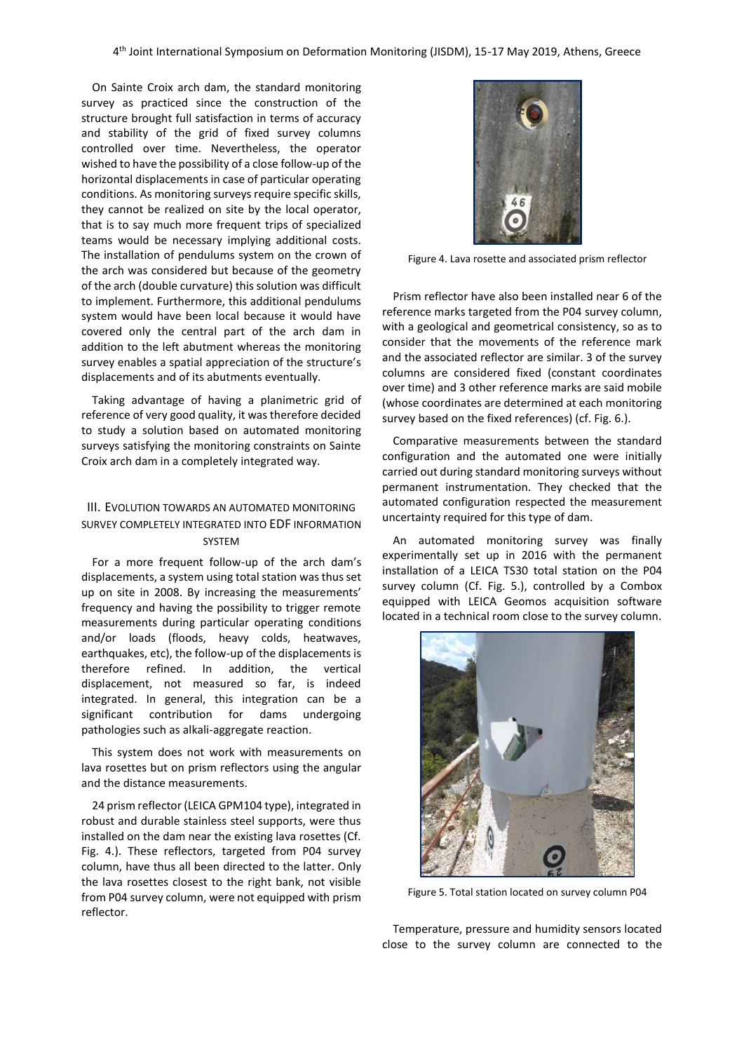On Sainte Croix arch dam, the standard monitoring survey as practiced since the construction of the structure brought full satisfaction in terms of accuracy and stability of the grid of fixed survey columns controlled over time. Nevertheless, the operator wished to have the possibility of a close follow-up of the horizontal displacements in case of particular operating conditions. As monitoring surveys require specific skills, they cannot be realized on site by the local operator, that is to say much more frequent trips of specialized teams would be necessary implying additional costs. The installation of pendulums system on the crown of the arch was considered but because of the geometry of the arch (double curvature) this solution was difficult to implement. Furthermore, this additional pendulums system would have been local because it would have covered only the central part of the arch dam in addition to the left abutment whereas the monitoring survey enables a spatial appreciation of the structure's displacements and of its abutments eventually.

Taking advantage of having a planimetric grid of reference of very good quality, it was therefore decided to study a solution based on automated monitoring surveys satisfying the monitoring constraints on Sainte Croix arch dam in a completely integrated way.

### III. EVOLUTION TOWARDS AN AUTOMATED MONITORING SURVEY COMPLETELY INTEGRATED INTO EDF INFORMATION SYSTEM

For a more frequent follow-up of the arch dam's displacements, a system using total station was thus set up on site in 2008. By increasing the measurements' frequency and having the possibility to trigger remote measurements during particular operating conditions and/or loads (floods, heavy colds, heatwaves, earthquakes, etc), the follow-up of the displacements is therefore refined. In addition, the vertical displacement, not measured so far, is indeed integrated. In general, this integration can be a significant contribution for dams undergoing pathologies such as alkali-aggregate reaction.

This system does not work with measurements on lava rosettes but on prism reflectors using the angular and the distance measurements.

24 prism reflector (LEICA GPM104 type), integrated in robust and durable stainless steel supports, were thus installed on the dam near the existing lava rosettes (Cf. Fig. 4.). These reflectors, targeted from P04 survey column, have thus all been directed to the latter. Only the lava rosettes closest to the right bank, not visible from P04 survey column, were not equipped with prism reflector.



Figure 4. Lava rosette and associated prism reflector

Prism reflector have also been installed near 6 of the reference marks targeted from the P04 survey column, with a geological and geometrical consistency, so as to consider that the movements of the reference mark and the associated reflector are similar. 3 of the survey columns are considered fixed (constant coordinates over time) and 3 other reference marks are said mobile (whose coordinates are determined at each monitoring survey based on the fixed references) (cf. Fig. 6.).

Comparative measurements between the standard configuration and the automated one were initially carried out during standard monitoring surveys without permanent instrumentation. They checked that the automated configuration respected the measurement uncertainty required for this type of dam.

An automated monitoring survey was finally experimentally set up in 2016 with the permanent installation of a LEICA TS30 total station on the P04 survey column (Cf. Fig. 5.), controlled by a Combox equipped with LEICA Geomos acquisition software located in a technical room close to the survey column.



Figure 5. Total station located on survey column P04

Temperature, pressure and humidity sensors located close to the survey column are connected to the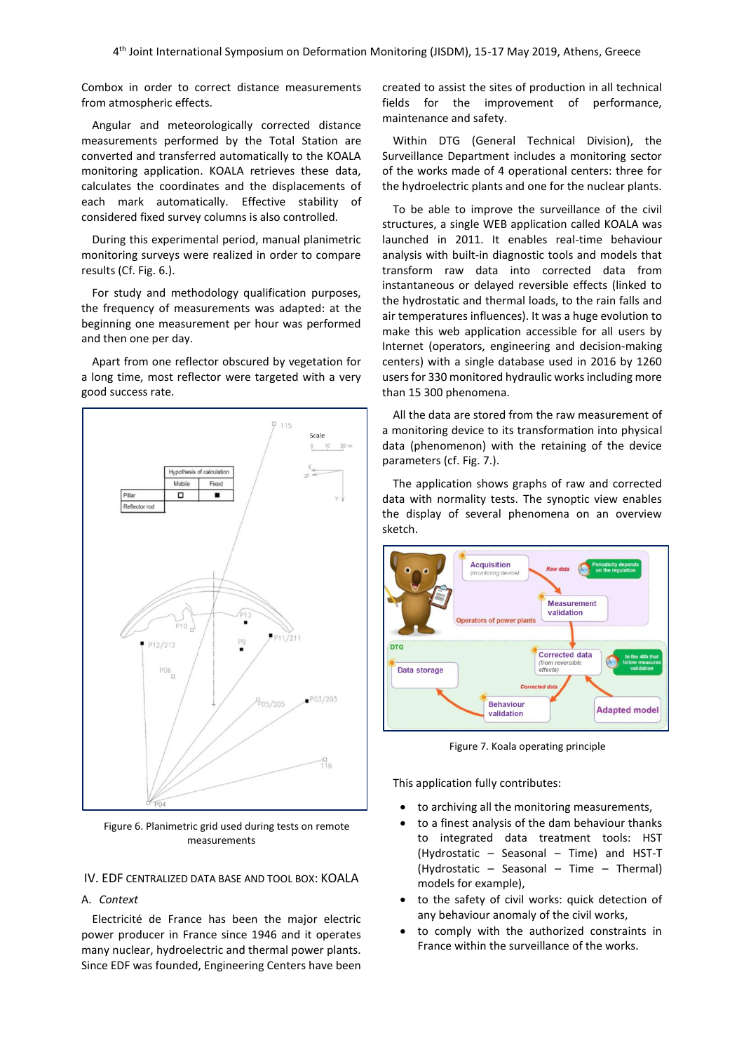Combox in order to correct distance measurements from atmospheric effects.

Angular and meteorologically corrected distance measurements performed by the Total Station are converted and transferred automatically to the KOALA monitoring application. KOALA retrieves these data, calculates the coordinates and the displacements of each mark automatically. Effective stability of considered fixed survey columns is also controlled.

During this experimental period, manual planimetric monitoring surveys were realized in order to compare results (Cf. Fig. 6.).

For study and methodology qualification purposes, the frequency of measurements was adapted: at the beginning one measurement per hour was performed and then one per day.

Apart from one reflector obscured by vegetation for a long time, most reflector were targeted with a very good success rate.



Figure 6. Planimetric grid used during tests on remote measurements

### IV. EDF CENTRALIZED DATA BASE AND TOOL BOX: KOALA

### A. *Context*

Electricité de France has been the major electric power producer in France since 1946 and it operates many nuclear, hydroelectric and thermal power plants. Since EDF was founded, Engineering Centers have been created to assist the sites of production in all technical fields for the improvement of performance, maintenance and safety.

Within DTG (General Technical Division), the Surveillance Department includes a monitoring sector of the works made of 4 operational centers: three for the hydroelectric plants and one for the nuclear plants.

To be able to improve the surveillance of the civil structures, a single WEB application called KOALA was launched in 2011. It enables real-time behaviour analysis with built-in diagnostic tools and models that transform raw data into corrected data from instantaneous or delayed reversible effects (linked to the hydrostatic and thermal loads, to the rain falls and air temperatures influences). It was a huge evolution to make this web application accessible for all users by Internet (operators, engineering and decision-making centers) with a single database used in 2016 by 1260 users for 330 monitored hydraulic works including more than 15 300 phenomena.

All the data are stored from the raw measurement of a monitoring device to its transformation into physical data (phenomenon) with the retaining of the device parameters (cf. Fig. 7.).

The application shows graphs of raw and corrected data with normality tests. The synoptic view enables the display of several phenomena on an overview sketch.



Figure 7. Koala operating principle

This application fully contributes:

- to archiving all the monitoring measurements,
- to a finest analysis of the dam behaviour thanks to integrated data treatment tools: HST (Hydrostatic – Seasonal – Time) and HST-T (Hydrostatic – Seasonal – Time – Thermal) models for example),
- to the safety of civil works: quick detection of any behaviour anomaly of the civil works,
- to comply with the authorized constraints in France within the surveillance of the works.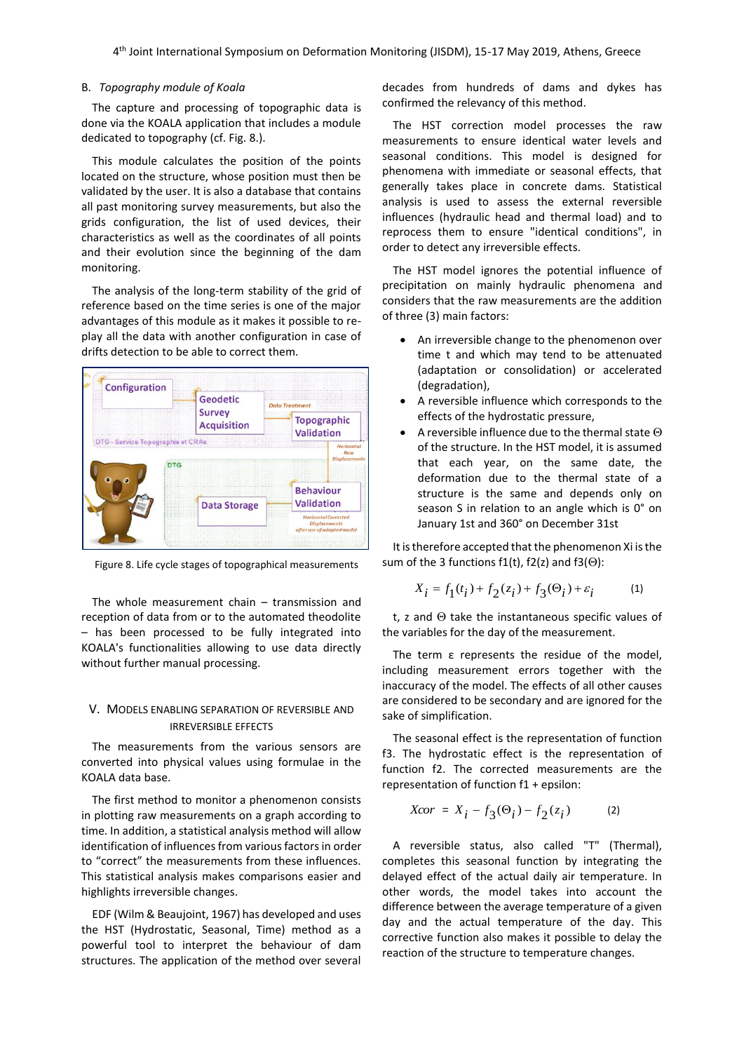#### B. *Topography module of Koala*

The capture and processing of topographic data is done via the KOALA application that includes a module dedicated to topography (cf. Fig. 8.).

This module calculates the position of the points located on the structure, whose position must then be validated by the user. It is also a database that contains all past monitoring survey measurements, but also the grids configuration, the list of used devices, their characteristics as well as the coordinates of all points and their evolution since the beginning of the dam monitoring.

The analysis of the long-term stability of the grid of reference based on the time series is one of the major advantages of this module as it makes it possible to replay all the data with another configuration in case of drifts detection to be able to correct them.



Figure 8. Life cycle stages of topographical measurements

The whole measurement chain – transmission and reception of data from or to the automated theodolite – has been processed to be fully integrated into KOALA's functionalities allowing to use data directly without further manual processing.

### V. MODELS ENABLING SEPARATION OF REVERSIBLE AND IRREVERSIBLE EFFECTS

The measurements from the various sensors are converted into physical values using formulae in the KOALA data base.

The first method to monitor a phenomenon consists in plotting raw measurements on a graph according to time. In addition, a statistical analysis method will allow identification of influences from various factors in order to "correct" the measurements from these influences. This statistical analysis makes comparisons easier and highlights irreversible changes.

EDF (Wilm & Beaujoint, 1967) has developed and uses the HST (Hydrostatic, Seasonal, Time) method as a powerful tool to interpret the behaviour of dam structures. The application of the method over several decades from hundreds of dams and dykes has confirmed the relevancy of this method.

The HST correction model processes the raw measurements to ensure identical water levels and seasonal conditions. This model is designed for phenomena with immediate or seasonal effects, that generally takes place in concrete dams. Statistical analysis is used to assess the external reversible influences (hydraulic head and thermal load) and to reprocess them to ensure "identical conditions", in order to detect any irreversible effects.

The HST model ignores the potential influence of precipitation on mainly hydraulic phenomena and considers that the raw measurements are the addition of three (3) main factors:

- An irreversible change to the phenomenon over time t and which may tend to be attenuated (adaptation or consolidation) or accelerated (degradation),
- A reversible influence which corresponds to the effects of the hydrostatic pressure,
- A reversible influence due to the thermal state  $\Theta$ of the structure. In the HST model, it is assumed that each year, on the same date, the deformation due to the thermal state of a structure is the same and depends only on season S in relation to an angle which is 0° on January 1st and 360° on December 31st

It is therefore accepted that the phenomenon Xi is the sum of the 3 functions f1(t), f2(z) and f3( $\Theta$ ):

$$
X_{i} = f_{1}(t_{i}) + f_{2}(z_{i}) + f_{3}(\Theta_{i}) + \varepsilon_{i}
$$
 (1)

t, z and  $\Theta$  take the instantaneous specific values of the variables for the day of the measurement.

The term ε represents the residue of the model, including measurement errors together with the inaccuracy of the model. The effects of all other causes are considered to be secondary and are ignored for the sake of simplification.

The seasonal effect is the representation of function f3. The hydrostatic effect is the representation of function f2. The corrected measurements are the representation of function f1 + epsilon:

$$
Xcor = X_i - f_3(\Theta_i) - f_2(z_i)
$$
 (2)

A reversible status, also called "T" (Thermal), completes this seasonal function by integrating the delayed effect of the actual daily air temperature. In other words, the model takes into account the difference between the average temperature of a given day and the actual temperature of the day. This corrective function also makes it possible to delay the reaction of the structure to temperature changes.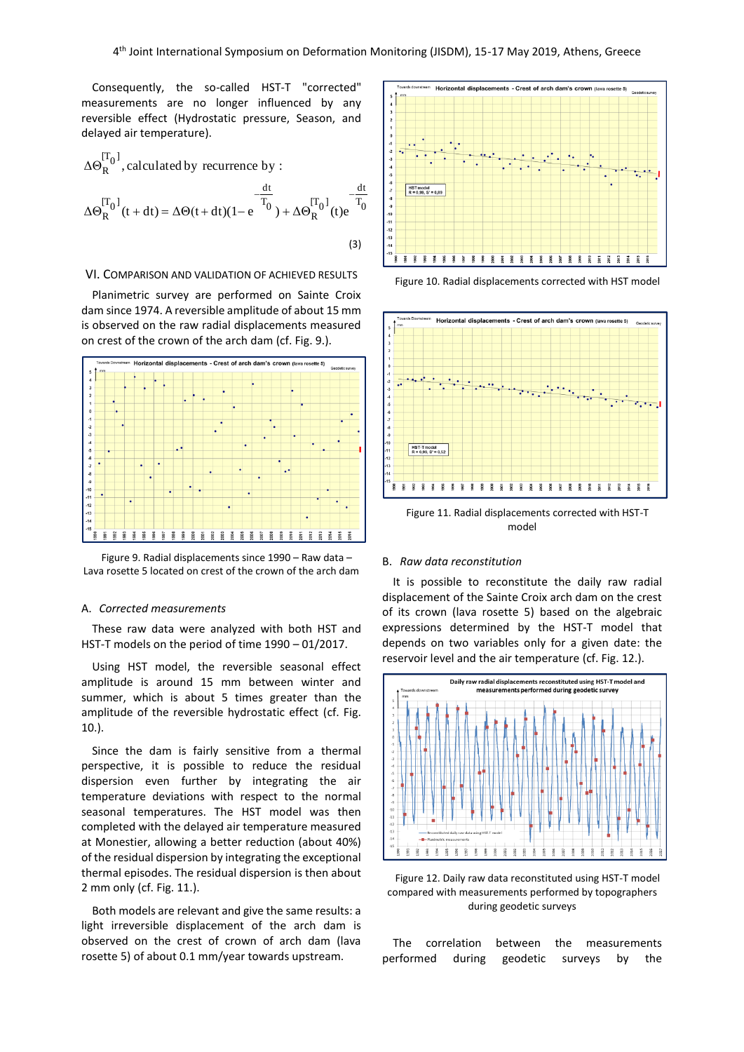Consequently, the so-called HST-T "corrected" measurements are no longer influenced by any reversible effect (Hydrostatic pressure, Season, and delayed air temperature).

$$
\Delta\Theta_R^{[T_0]}, \text{calculated by recurrence by :}
$$
  
\n
$$
\Delta\Theta_R^{[T_0]}(t+dt) = \Delta\Theta(t+dt)(1-e^{-T_0}) + \Delta\Theta_R^{[T_0]}(t)e^{-T_0}
$$
  
\n(3)

#### VI. COMPARISON AND VALIDATION OF ACHIEVED RESULTS

Planimetric survey are performed on Sainte Croix dam since 1974. A reversible amplitude of about 15 mm is observed on the raw radial displacements measured on crest of the crown of the arch dam (cf. Fig. 9.).





#### A. *Corrected measurements*

These raw data were analyzed with both HST and HST-T models on the period of time 1990 – 01/2017.

Using HST model, the reversible seasonal effect amplitude is around 15 mm between winter and summer, which is about 5 times greater than the amplitude of the reversible hydrostatic effect (cf. Fig. 10.).

Since the dam is fairly sensitive from a thermal perspective, it is possible to reduce the residual dispersion even further by integrating the air temperature deviations with respect to the normal seasonal temperatures. The HST model was then completed with the delayed air temperature measured at Monestier, allowing a better reduction (about 40%) of the residual dispersion by integrating the exceptional thermal episodes. The residual dispersion is then about 2 mm only (cf. Fig. 11.).

Both models are relevant and give the same results: a light irreversible displacement of the arch dam is observed on the crest of crown of arch dam (lava rosette 5) of about 0.1 mm/year towards upstream.



Figure 10. Radial displacements corrected with HST model



Figure 11. Radial displacements corrected with HST-T model

#### B. *Raw data reconstitution*

It is possible to reconstitute the daily raw radial displacement of the Sainte Croix arch dam on the crest of its crown (lava rosette 5) based on the algebraic expressions determined by the HST-T model that depends on two variables only for a given date: the reservoir level and the air temperature (cf. Fig. 12.).



Figure 12. Daily raw data reconstituted using HST-T model compared with measurements performed by topographers during geodetic surveys

The correlation between the measurements performed during geodetic surveys by the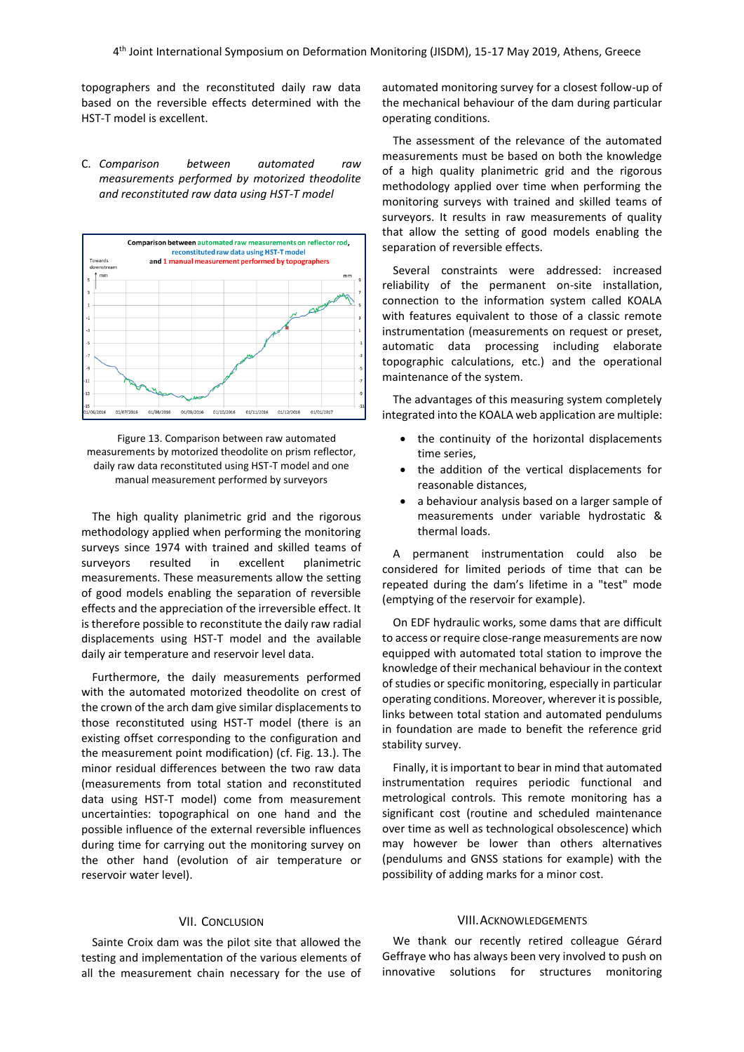topographers and the reconstituted daily raw data based on the reversible effects determined with the HST-T model is excellent.

C. *Comparison between automated raw measurements performed by motorized theodolite and reconstituted raw data using HST-T model*



Figure 13. Comparison between raw automated measurements by motorized theodolite on prism reflector, daily raw data reconstituted using HST-T model and one manual measurement performed by surveyors

The high quality planimetric grid and the rigorous methodology applied when performing the monitoring surveys since 1974 with trained and skilled teams of surveyors resulted in excellent planimetric measurements. These measurements allow the setting of good models enabling the separation of reversible effects and the appreciation of the irreversible effect. It is therefore possible to reconstitute the daily raw radial displacements using HST-T model and the available daily air temperature and reservoir level data.

Furthermore, the daily measurements performed with the automated motorized theodolite on crest of the crown of the arch dam give similar displacements to those reconstituted using HST-T model (there is an existing offset corresponding to the configuration and the measurement point modification) (cf. Fig. 13.). The minor residual differences between the two raw data (measurements from total station and reconstituted data using HST-T model) come from measurement uncertainties: topographical on one hand and the possible influence of the external reversible influences during time for carrying out the monitoring survey on the other hand (evolution of air temperature or reservoir water level).

## VII. CONCLUSION

Sainte Croix dam was the pilot site that allowed the testing and implementation of the various elements of all the measurement chain necessary for the use of automated monitoring survey for a closest follow-up of the mechanical behaviour of the dam during particular operating conditions.

The assessment of the relevance of the automated measurements must be based on both the knowledge of a high quality planimetric grid and the rigorous methodology applied over time when performing the monitoring surveys with trained and skilled teams of surveyors. It results in raw measurements of quality that allow the setting of good models enabling the separation of reversible effects.

Several constraints were addressed: increased reliability of the permanent on-site installation, connection to the information system called KOALA with features equivalent to those of a classic remote instrumentation (measurements on request or preset, automatic data processing including elaborate topographic calculations, etc.) and the operational maintenance of the system.

The advantages of this measuring system completely integrated into the KOALA web application are multiple:

- the continuity of the horizontal displacements time series,
- the addition of the vertical displacements for reasonable distances,
- a behaviour analysis based on a larger sample of measurements under variable hydrostatic & thermal loads.

A permanent instrumentation could also be considered for limited periods of time that can be repeated during the dam's lifetime in a "test" mode (emptying of the reservoir for example).

On EDF hydraulic works, some dams that are difficult to access or require close-range measurements are now equipped with automated total station to improve the knowledge of their mechanical behaviour in the context of studies or specific monitoring, especially in particular operating conditions. Moreover, wherever it is possible, links between total station and automated pendulums in foundation are made to benefit the reference grid stability survey.

Finally, it is important to bear in mind that automated instrumentation requires periodic functional and metrological controls. This remote monitoring has a significant cost (routine and scheduled maintenance over time as well as technological obsolescence) which may however be lower than others alternatives (pendulums and GNSS stations for example) with the possibility of adding marks for a minor cost.

### VIII.ACKNOWLEDGEMENTS

We thank our recently retired colleague Gérard Geffraye who has always been very involved to push on innovative solutions for structures monitoring